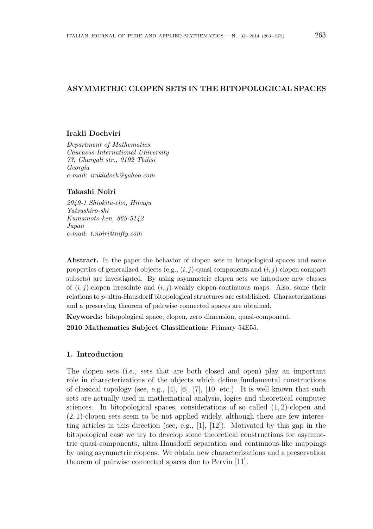# ASYMMETRIC CLOPEN SETS IN THE BITOPOLOGICAL SPACES

#### Irakli Dochviri

Department of Mathematics Caucasus International University 73, Chargali str., 0192 Tbilisi Georgia e-mail: iraklidoch@yahoo.com

## Takashi Noiri

2949-1 Shiokita-cho, Hinagu Yatsushiro-shi Kumamoto-ken, 869-5142 Japan e-mail: t.noiri@nifty.com

Abstract. In the paper the behavior of clopen sets in bitopological spaces and some properties of generalized objects (e.g.,  $(i, j)$ -quasi components and  $(i, j)$ -clopen compact subsets) are investigated. By using asymmetric clopen sets we introduce new classes of  $(i, j)$ -clopen irresolute and  $(i, j)$ -weakly clopen-continuous maps. Also, some their relations to p-ultra-Hausdorff bitopological structures are established. Characterizations and a preserving theorem of pairwise connected spaces are obtained.

Keywords: bitopological space, clopen, zero dimension, quasi-component.

2010 Mathematics Subject Classification: Primary 54E55.

# 1. Introduction

The clopen sets (i.e., sets that are both closed and open) play an important role in characterizations of the objects which define fundamental constructions of classical topology (see, e.g., [4], [6], [7], [10] etc.). It is well known that such sets are actually used in mathematical analysis, logics and theoretical computer sciences. In bitopological spaces, considerations of so called  $(1, 2)$ -clopen and (2, 1)-clopen sets seem to be not applied widely, although there are few interesting articles in this direction (see, e.g., [1], [12]). Motivated by this gap in the bitopological case we try to develop some theoretical constructions for asymmetric quasi-components, ultra-Hausdorff separation and continuous-like mappings by using asymmetric clopens. We obtain new characterizations and a preservation theorem of pairwise connected spaces due to Pervin [11].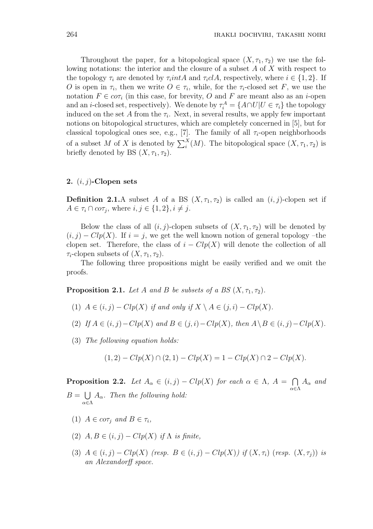Throughout the paper, for a bitopological space  $(X, \tau_1, \tau_2)$  we use the following notations: the interior and the closure of a subset A of X with respect to the topology  $\tau_i$  are denoted by  $\tau_i$ *intA* and  $\tau_i$ *clA*, respectively, where  $i \in \{1,2\}$ . If O is open in  $\tau_i$ , then we write  $O \in \tau_i$ , while, for the  $\tau_i$ -closed set F, we use the notation  $F \in \text{cor}_i$  (in this case, for brevity, O and F are meant also as an *i*-open and an *i*-closed set, respectively). We denote by  $\tau_i^A = \{A \cap U | U \in \tau_i\}$  the topology induced on the set A from the  $\tau_i$ . Next, in several results, we apply few important notions on bitopological structures, which are completely concerned in [5], but for classical topological ones see, e.g., [7]. The family of all  $\tau_i$ -open neighborhoods of a subset M of X is denoted by  $\sum_i^X(M)$ . The bitopological space  $(X, \tau_1, \tau_2)$  is briefly denoted by BS  $(X, \tau_1, \tau_2)$ .

## 2.  $(i, j)$ -Clopen sets

**Definition 2.1.**A subset A of a BS  $(X, \tau_1, \tau_2)$  is called an  $(i, j)$ -clopen set if  $A \in \tau_i \cap co\tau_j$ , where  $i, j \in \{1, 2\}, i \neq j$ .

Below the class of all  $(i, j)$ -clopen subsets of  $(X, \tau_1, \tau_2)$  will be denoted by  $(i, j) - Clp(X)$ . If  $i = j$ , we get the well known notion of general topology –the clopen set. Therefore, the class of  $i - Clp(X)$  will denote the collection of all  $\tau_i$ -clopen subsets of  $(X, \tau_1, \tau_2)$ .

The following three propositions might be easily verified and we omit the proofs.

**Proposition 2.1.** Let A and B be subsets of a BS  $(X, \tau_1, \tau_2)$ .

- (1)  $A \in (i, j) Clp(X)$  if and only if  $X \setminus A \in (j, i) Clp(X)$ .
- (2) If  $A \in (i, j) Clp(X)$  and  $B \in (j, i) Clp(X)$ , then  $A \setminus B \in (i, j) Clp(X)$ .
- (3) The following equation holds:

$$
(1,2) - Clp(X) \cap (2,1) - Clp(X) = 1 - Clp(X) \cap 2 - Clp(X).
$$

**Proposition 2.2.** Let  $A_{\alpha} \in (i, j) - Clp(X)$  for each  $\alpha \in \Lambda$ ,  $A =$  $\overline{a}$ α∈Λ  $A_{\alpha}$  and  $B =$ S α∈Λ  $A_{\alpha}$ . Then the following hold:

- (1)  $A \in \textit{cor}_i$  and  $B \in \tau_i$ ,
- (2)  $A, B \in (i, j) Clp(X)$  if  $\Lambda$  is finite,
- (3)  $A \in (i, j) Clp(X)$  (resp.  $B \in (i, j) Clp(X)$ ) if  $(X, \tau_i)$  (resp.  $(X, \tau_i)$ ) is an Alexandorff space.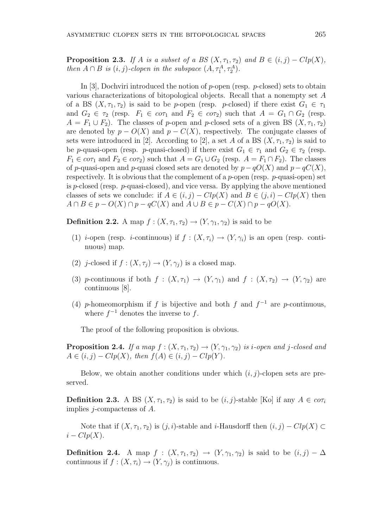**Proposition 2.3.** If A is a subset of a BS  $(X, \tau_1, \tau_2)$  and  $B \in (i, j) - Clp(X)$ , then  $A \cap B$  is  $(i, j)$ -clopen in the subspace  $(A, \tau_1^A, \tau_2^A)$ .

In [3], Dochviri introduced the notion of p-open (resp. p-closed) sets to obtain various characterizations of bitopological objects. Recall that a nonempty set A of a BS  $(X, \tau_1, \tau_2)$  is said to be p-open (resp. p-closed) if there exist  $G_1 \in \tau_1$ and  $G_2 \in \tau_2$  (resp.  $F_1 \in \mathfrak{cor}_1$  and  $F_2 \in \mathfrak{cor}_2$ ) such that  $A = G_1 \cap G_2$  (resp.  $A = F_1 \cup F_2$ . The classes of p-open and p-closed sets of a given BS  $(X, \tau_1, \tau_2)$ are denoted by  $p - O(X)$  and  $p - C(X)$ , respectively. The conjugate classes of sets were introduced in [2]. According to [2], a set A of a BS  $(X, \tau_1, \tau_2)$  is said to be p-quasi-open (resp. p-quasi-closed) if there exist  $G_1 \in \tau_1$  and  $G_2 \in \tau_2$  (resp.  $F_1 \in c \sigma \tau_1$  and  $F_2 \in c \sigma \tau_2$ ) such that  $A = G_1 \cup G_2$  (resp.  $A = F_1 \cap F_2$ ). The classes of p-quasi-open and p-quasi closed sets are denoted by  $p-qO(X)$  and  $p-qC(X)$ , respectively. It is obvious that the complement of a p-open (resp. p-quasi-open) set is p-closed (resp. p-quasi-closed), and vice versa. By applying the above mentioned classes of sets we conclude: if  $A \in (i, j) - Clp(X)$  and  $B \in (j, i) - Clp(X)$  then  $A \cap B \in p - O(X) \cap p - qC(X)$  and  $A \cup B \in p - C(X) \cap p - qO(X)$ .

**Definition 2.2.** A map  $f : (X, \tau_1, \tau_2) \to (Y, \gamma_1, \gamma_2)$  is said to be

- (1) *i*-open (resp. *i*-continuous) if  $f : (X, \tau_i) \to (Y, \gamma_i)$  is an open (resp. continuous) map.
- (2) j-closed if  $f : (X, \tau_i) \to (Y, \gamma_i)$  is a closed map.
- (3) p-continuous if both  $f : (X, \tau_1) \to (Y, \gamma_1)$  and  $f : (X, \tau_2) \to (Y, \gamma_2)$  are continuous [8].
- (4) p-homeomorphism if f is bijective and both f and  $f^{-1}$  are p-continuous, where  $f^{-1}$  denotes the inverse to f.

The proof of the following proposition is obvious.

**Proposition 2.4.** If a map  $f : (X, \tau_1, \tau_2) \to (Y, \gamma_1, \gamma_2)$  is *i*-open and *j*-closed and  $A \in (i, j) - Clp(X)$ , then  $f(A) \in (i, j) - Clp(Y)$ .

Below, we obtain another conditions under which  $(i, j)$ -clopen sets are preserved.

**Definition 2.3.** A BS  $(X, \tau_1, \tau_2)$  is said to be  $(i, j)$ -stable [Ko] if any  $A \in \mathfrak{cor}_i$ implies j-compactenss of A.

Note that if  $(X, \tau_1, \tau_2)$  is  $(j, i)$ -stable and *i*-Hausdorff then  $(i, j) - Clp(X) \subset$  $i - Clp(X)$ .

**Definition 2.4.** A map  $f : (X, \tau_1, \tau_2) \to (Y, \gamma_1, \gamma_2)$  is said to be  $(i, j) - \Delta$ continuous if  $f : (X, \tau_i) \to (Y, \gamma_j)$  is continuous.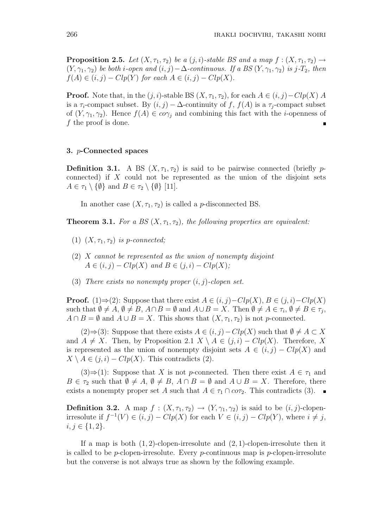**Proposition 2.5.** Let  $(X, \tau_1, \tau_2)$  be a  $(j, i)$ -stable BS and a map  $f : (X, \tau_1, \tau_2) \rightarrow$  $(Y, \gamma_1, \gamma_2)$  be both i-open and  $(i, j) - \Delta$ -continuous. If a BS  $(Y, \gamma_1, \gamma_2)$  is j-T<sub>2</sub>, then  $f(A) \in (i, j) - Clp(Y)$  for each  $A \in (i, j) - Clp(X)$ .

**Proof.** Note that, in the  $(j, i)$ -stable BS  $(X, \tau_1, \tau_2)$ , for each  $A \in (i, j) - Clp(X)$  A is a  $\tau_i$ -compact subset. By  $(i, j) - \Delta$ -continuity of f,  $f(A)$  is a  $\tau_i$ -compact subset of  $(Y, \gamma_1, \gamma_2)$ . Hence  $f(A) \in co\gamma_i$  and combining this fact with the *i*-openness of f the proof is done. Ė

#### 3. p-Connected spaces

**Definition 3.1.** A BS  $(X, \tau_1, \tau_2)$  is said to be pairwise connected (briefly pconnected) if  $X$  could not be represented as the union of the disjoint sets  $A \in \tau_1 \setminus \{\emptyset\}$  and  $B \in \tau_2 \setminus \{\emptyset\}$  [11].

In another case  $(X, \tau_1, \tau_2)$  is called a *p*-disconnected BS.

**Theorem 3.1.** For a BS  $(X, \tau_1, \tau_2)$ , the following properties are equivalent:

- (1)  $(X, \tau_1, \tau_2)$  is p-connected;
- $(2)$  X cannot be represented as the union of nonempty disjoint  $A \in (i, j) - Clp(X)$  and  $B \in (j, i) - Clp(X);$
- (3) There exists no nonempty proper  $(i, j)$ -clopen set.

**Proof.** (1)⇒(2): Suppose that there exist  $A \in (i, j) - Clp(X), B \in (j, i) - Clp(X)$ such that  $\emptyset \neq A, \emptyset \neq B, A \cap B = \emptyset$  and  $A \cup B = X$ . Then  $\emptyset \neq A \in \tau_i, \emptyset \neq B \in \tau_j$ ,  $A \cap B = \emptyset$  and  $A \cup B = X$ . This shows that  $(X, \tau_1, \tau_2)$  is not p-connected.

 $(2) \Rightarrow (3)$ : Suppose that there exists  $A \in (i, j) - Clp(X)$  such that  $\emptyset \neq A \subset X$ and  $A \neq X$ . Then, by Proposition 2.1  $X \setminus A \in (j, i) - Clp(X)$ . Therefore, X is represented as the union of nonempty disjoint sets  $A \in (i, j) - Clp(X)$  and  $X \setminus A \in (j, i) - Clp(X)$ . This contradicts (2).

 $(3) \Rightarrow (1)$ : Suppose that X is not p-connected. Then there exist  $A \in \tau_1$  and  $B \in \tau_2$  such that  $\emptyset \neq A$ ,  $\emptyset \neq B$ ,  $A \cap B = \emptyset$  and  $A \cup B = X$ . Therefore, there exists a nonempty proper set A such that  $A \in \tau_1 \cap co\tau_2$ . This contradicts (3).

**Definition 3.2.** A map  $f : (X, \tau_1, \tau_2) \to (Y, \gamma_1, \gamma_2)$  is said to be  $(i, j)$ -clopenirresolute if  $f^{-1}(V) \in (i, j) - Clp(X)$  for each  $V \in (i, j) - Clp(Y)$ , where  $i \neq j$ ,  $i, j \in \{1, 2\}.$ 

If a map is both  $(1, 2)$ -clopen-irresolute and  $(2, 1)$ -clopen-irresolute then it is called to be *p*-clopen-irresolute. Every *p*-continuous map is *p*-clopen-irresolute but the converse is not always true as shown by the following example.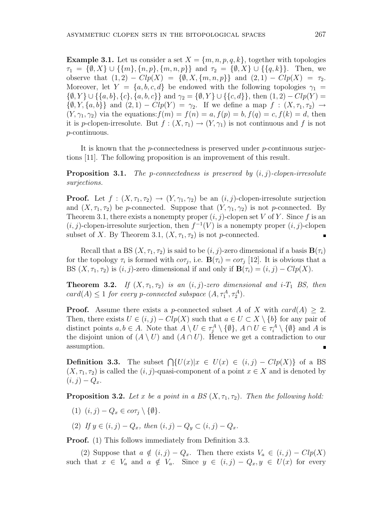**Example 3.1.** Let us consider a set  $X = \{m, n, p, q, k\}$ , together with topologies  $\tau_1 = \{\emptyset, X\} \cup \{\{m\}, \{n, p\}, \{m, n, p\}\}\$ and  $\tau_2 = \{\emptyset, X\} \cup \{\{q, k\}\}\$ . Then, we observe that  $(1, 2) - Clp(X) = \{ \emptyset, X, \{m, n, p\} \}$  and  $(2, 1) - Clp(X) = \tau_2$ . Moreover, let  $Y = \{a, b, c, d\}$  be endowed with the following topologies  $\gamma_1 =$  $\{\emptyset, Y\} \cup \{\{a, b\}, \{c\}, \{a, b, c\}\}\$ and  $\gamma_2 = \{\emptyset, Y\} \cup \{\{c, d\}\}\$ , then  $(1, 2) - Clp(Y) =$  $\{\emptyset, Y, \{a, b\}\}\$ and  $(2, 1) - Clp(Y) = \gamma_2$ . If we define a map  $f : (X, \tau_1, \tau_2) \rightarrow$  $(Y, \gamma_1, \gamma_2)$  via the equations:  $f(m) = f(n) = a$ ,  $f(p) = b$ ,  $f(q) = c$ ,  $f(k) = d$ , then it is p-clopen-irresolute. But  $f : (X, \tau_1) \to (Y, \gamma_1)$  is not continuous and f is not p-continuous.

It is known that the  $p$ -connectedness is preserved under  $p$ -continuous surjections [11]. The following proposition is an improvement of this result.

**Proposition 3.1.** The p-connectedness is preserved by  $(i, j)$ -clopen-irresolute surjections.

**Proof.** Let  $f : (X, \tau_1, \tau_2) \to (Y, \gamma_1, \gamma_2)$  be an  $(i, j)$ -clopen-irresolute surjection and  $(X, \tau_1, \tau_2)$  be p-connected. Suppose that  $(Y, \gamma_1, \gamma_2)$  is not p-connected. By Theorem 3.1, there exists a nonempty proper  $(i, j)$ -clopen set V of Y. Since f is an  $(i, j)$ -clopen-irresolute surjection, then  $f^{-1}(V)$  is a nonempty proper  $(i, j)$ -clopen subset of X. By Theorem 3.1,  $(X, \tau_1, \tau_2)$  is not p-connected.

Recall that a BS  $(X, \tau_1, \tau_2)$  is said to be  $(i, j)$ -zero dimensional if a basis  $\mathbf{B}(\tau_i)$ for the topology  $\tau_i$  is formed with  $c\sigma_{\tau_j}$ , i.e.  $\mathbf{B}(\tau_i) = c\sigma_{\tau_j}$  [12]. It is obvious that a BS  $(X, \tau_1, \tau_2)$  is  $(i, j)$ -zero dimensional if and only if  $\mathbf{B}(\tau_i) = (i, j) - Clp(X)$ .

**Theorem 3.2.** If  $(X, \tau_1, \tau_2)$  is an  $(i, j)$ -zero dimensional and  $i-T_1$  BS, then  $card(A) \leq 1$  for every p-connected subspace  $(A, \tau_1^A, \tau_2^A)$ .

**Proof.** Assume there exists a p-connected subset A of X with  $card(A) \geq 2$ . Then, there exists  $U \in (i, j) - Clp(X)$  such that  $a \in U \subset X \setminus \{b\}$  for any pair of distinct points  $a, b \in A$ . Note that  $A \setminus U \in \tau_j^A \setminus \{\emptyset\}$ ,  $A \cap U \in \tau_i^A \setminus \{\emptyset\}$  and A is the disjoint union of  $(A \setminus U)$  and  $(A \cap U)$ . Hence we get a contradiction to our assumption.

**Definition 3.3.** The subset  $\bigcap \{U(x)|x \in U(x) \in (i,j) - Clp(X)\}\$ of a BS  $(X, \tau_1, \tau_2)$  is called the  $(i, j)$ -quasi-component of a point  $x \in X$  and is denoted by  $(i, j) - Q_x.$ 

**Proposition 3.2.** Let x be a point in a BS  $(X, \tau_1, \tau_2)$ . Then the following hold:

- (1)  $(i, j) Q_x \in cor_i \setminus \{\emptyset\}.$
- (2) If  $y \in (i, j) Q_x$ , then  $(i, j) Q_y \subset (i, j) Q_x$ .

**Proof.** (1) This follows immediately from Definition 3.3.

(2) Suppose that  $a \notin (i, j) - Q_x$ . Then there exists  $V_a \in (i, j) - Clp(X)$ such that  $x \in V_a$  and  $a \notin V_a$ . Since  $y \in (i, j) - Q_x, y \in U(x)$  for every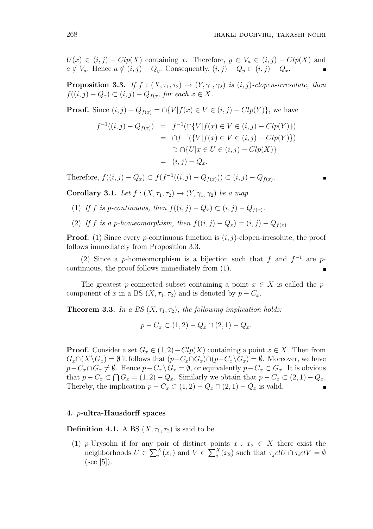$U(x) \in (i, j) - Clp(X)$  containing x. Therefore,  $y \in V_a \in (i, j) - Clp(X)$  and  $a \notin V_a$ . Hence  $a \notin (i, j) - Q_y$ . Consequently,  $(i, j) - Q_y \subset (i, j) - Q_x$ .

**Proposition 3.3.** If  $f : (X, \tau_1, \tau_2) \rightarrow (Y, \gamma_1, \gamma_2)$  is  $(i, j)$ -clopen-irresolute, then  $f((i, j) - Q_x) \subset (i, j) - Q_{f(x)}$  for each  $x \in X$ .

**Proof.** Since  $(i, j) - Q_{f(x)} = \bigcap \{V | f(x) \in V \in (i, j) - Clp(Y)\}\)$ , we have

$$
f^{-1}((i,j) - Q_{f(x)}) = f^{-1}(\bigcap \{V | f(x) \in V \in (i,j) - Clp(Y)\})
$$
  
= 
$$
\bigcap f^{-1}(\{V | f(x) \in V \in (i,j) - Clp(Y)\})
$$
  

$$
\bigcap \{U | x \in U \in (i,j) - Clp(X)\}
$$
  
= 
$$
(i,j) - Q_x.
$$

Therefore,  $f((i, j) - Q_x) \subset f(f^{-1}((i, j) - Q_{f(x)})) \subset (i, j) - Q_{f(x)}$ .

Corollary 3.1. Let  $f : (X, \tau_1, \tau_2) \to (Y, \gamma_1, \gamma_2)$  be a map.

- (1) If f is p-continuous, then  $f((i, j) Q_x) \subset (i, j) Q_{f(x)}$ .
- (2) If f is a p-homeomorphism, then  $f((i, j) Q_x) = (i, j) Q_{f(x)}$ .

**Proof.** (1) Since every *p*-continuous function is  $(i, j)$ -clopen-irresolute, the proof follows immediately from Proposition 3.3.

(2) Since a p-homeomorphism is a bijection such that f and  $f^{-1}$  are pcontinuous, the proof follows immediately from (1).

The greatest p-connected subset containing a point  $x \in X$  is called the pcomponent of x in a BS  $(X, \tau_1, \tau_2)$  and is denoted by  $p - C_x$ .

**Theorem 3.3.** In a BS  $(X, \tau_1, \tau_2)$ , the following implication holds:

$$
p - C_x \subset (1,2) - Q_x \cap (2,1) - Q_x.
$$

**Proof.** Consider a set  $G_x \in (1,2) - Clp(X)$  containing a point  $x \in X$ . Then from  $G_x \cap (X \backslash G_x) = \emptyset$  it follows that  $(p - C_x \cap G_x) \cap (p - C_x \backslash G_x) = \emptyset$ . Moreover, we have  $p-C_x\cap G_x\neq\emptyset$ . Hence  $p-C_x\setminus G_x=\emptyset$ , or equivalently  $p-C_x\subset G_x$ . It is obvious that  $p - C_x \subset \bigcap G_x = (1, 2) - Q_x$ . Similarly we obtain that  $p - C_x \subset (2, 1) - Q_x$ . Thereby, the implication  $p - C_x \subset (1, 2) - Q_x \cap (2, 1) - Q_x$  is valid.

## 4. p-ultra-Hausdorff spaces

**Definition 4.1.** A BS  $(X, \tau_1, \tau_2)$  is said to be

(1) p-Urysohn if for any pair of distinct points  $x_1, x_2 \in X$  there exist the<br>points point behavior of  $U \in \sum_{\alpha}^{X} f(x)$  and  $V \in \sum_{\alpha}^{X} f(x)$  and that  $\pi dU \cap \pi dV$ neighborhoods  $U \in \sum_{i}^{X}(x_1)$  and  $V \in \sum_{i}^{X}(x_2)$  such that  $\tau_j c l U \cap \tau_i c l V = \emptyset$  $(see [5]).$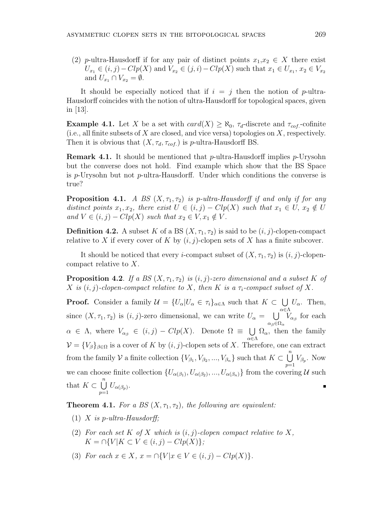(2) p-ultra-Hausdorff if for any pair of distinct points  $x_1,x_2 \in X$  there exist  $U_{x_1} \in (i, j) - Clp(X)$  and  $V_{x_2} \in (j, i) - Clp(X)$  such that  $x_1 \in U_{x_1}, x_2 \in V_{x_2}$ and  $U_{x_1} \cap V_{x_2} = \emptyset$ .

It should be especially noticed that if  $i = j$  then the notion of p-ultra-Hausdorff coincides with the notion of ultra-Hausdorff for topological spaces, given in [13].

**Example 4.1.** Let X be a set with  $card(X) \geq \aleph_0$ ,  $\tau_d$ -discrete and  $\tau_{cof}$ -cofinite (i.e., all finite subsets of  $X$  are closed, and vice versa) topologies on  $X$ , respectively. Then it is obvious that  $(X, \tau_d, \tau_{cof.})$  is p-ultra-Hausdorff BS.

**Remark 4.1.** It should be mentioned that *p*-ultra-Hausdorff implies *p*-Urysohn but the converse does not hold. Find example which show that the BS Space is  $p$ -Urysohn but not  $p$ -ultra-Hausdorff. Under which conditions the converse is true?

**Proposition 4.1.** A BS  $(X, \tau_1, \tau_2)$  is p-ultra-Hausdorff if and only if for any distinct points  $x_1, x_2$ , there exist  $U \in (i, j) - Clp(X)$  such that  $x_1 \in U$ ,  $x_2 \notin U$ and  $V \in (i, j) - Clp(X)$  such that  $x_2 \in V, x_1 \notin V$ .

**Definition 4.2.** A subset K of a BS  $(X, \tau_1, \tau_2)$  is said to be  $(i, j)$ -clopen-compact relative to X if every cover of K by  $(i, j)$ -clopen sets of X has a finite subcover.

It should be noticed that every *i*-compact subset of  $(X, \tau_1, \tau_2)$  is  $(i, j)$ -clopencompact relative to X.

**Proposition 4.2.** If a BS  $(X, \tau_1, \tau_2)$  is  $(i, j)$ -zero dimensional and a subset K of X is  $(i, j)$ -clopen-compact relative to X, then K is a  $\tau_i$ -compact subset of X.

**Proof.** Consider a family  $\mathcal{U} = \{U_{\alpha} | U_{\alpha} \in \tau_i\}_{\alpha \in \Lambda}$  such that  $K \subset$ S α∈Λ  $U_{\alpha}$ . Then, since  $(X, \tau_1, \tau_2)$  is  $(i, j)$ -zero dimensional, we can write  $U_\alpha =$ S  $\alpha_{\beta} \in \Omega_{\alpha}$  $V_{\alpha_{\beta}}$  for each  $\alpha \in \Lambda$ , where  $V_{\alpha_{\beta}} \in (i, j) - Clp(X)$ . Denote  $\Omega \equiv$ S α∈Λ  $\Omega_{\alpha}$ , then the family  $\mathcal{V} = \{V_{\beta}\}_{{\beta \in \Omega}}$  is a cover of K by  $(i, j)$ -clopen sets of X. Therefore, one can extract from the family V a finite collection  $\{V_{\beta_1}, V_{\beta_2}, ..., V_{\beta_n}\}$  such that  $K \subset$  $\binom{n}{k}$  $\bigcup_{p=1} V_{\beta_p}$ . Now we can choose finite collection  $\{U_{\alpha(\beta_1)}, U_{\alpha(\beta_2)},..., U_{\alpha(\beta_n)}\}$  from the covering U such that  $K \subset$  $\binom{n}{k}$  $\bigcup_{p=1} U_{\alpha(\beta_p)}.$ 

**Theorem 4.1.** For a BS  $(X, \tau_1, \tau_2)$ , the following are equivalent:

- (1) X is p-ultra-Hausdorff:
- (2) For each set K of X which is  $(i, j)$ -clopen compact relative to X,  $K = \bigcap \{V | K \subset V \in (i, j) - Clp(X)\};$
- (3) For each  $x \in X$ ,  $x = \bigcap \{V | x \in V \in (i, j) Clp(X)\}.$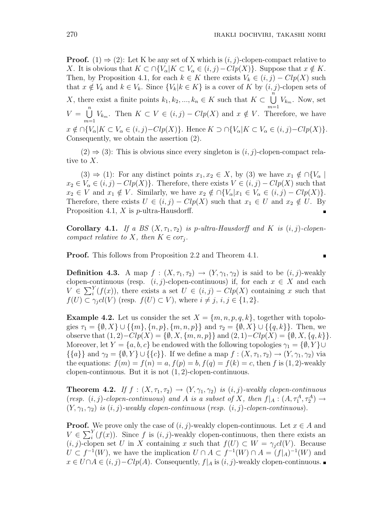**Proof.** (1)  $\Rightarrow$  (2): Let K be any set of X which is  $(i, j)$ -clopen-compact relative to X. It is obvious that  $K \subset \bigcap \{V_\alpha | K \subset V_\alpha \in (i,j)-Clp(X)\}\.$  Suppose that  $x \notin K$ . Then, by Proposition 4.1, for each  $k \in K$  there exists  $V_k \in (i, j) - Clp(X)$  such that  $x \notin V_k$  and  $k \in V_k$ . Since  $\{V_k | k \in K\}$  is a cover of K by  $(i, j)$ -clopen sets of X, there exist a finite points  $k_1, k_2, ..., k_n \in K$  such that  $K \subset$  $\tilde{n}$  $\bigcup_{m=1} V_{k_m}$ . Now, set  $V =$  $\binom{n}{k}$  $\bigcup_{m=1} V_{k_m}$ . Then  $K \subset V \in (i, j) - Clp(X)$  and  $x \notin V$ . Therefore, we have  $x \notin \bigcap_{\alpha}^{\infty} [K \subset V_{\alpha} \in (i, j) - Clp(X)]$ . Hence  $K \supset \bigcap \{V_{\alpha} | K \subset V_{\alpha} \in (i, j) - Clp(X)\}.$ Consequently, we obtain the assertion (2).

 $(2) \Rightarrow (3)$ : This is obvious since every singleton is  $(i, j)$ -clopen-compact relative to X.

(3)  $\Rightarrow$  (1): For any distinct points  $x_1, x_2 \in X$ , by (3) we have  $x_1 \notin \bigcap \{V_{\alpha} \mid$  $x_2 \in V_\alpha \in (i, j) - Clp(X)$ . Therefore, there exists  $V \in (i, j) - Clp(X)$  such that  $x_2 \in V$  and  $x_1 \notin V$ . Similarly, we have  $x_2 \notin \bigcap \{V_\alpha | x_1 \in V_\alpha \in (i,j) - Clp(X)\}.$ Therefore, there exists  $U \in (i, j) - Clp(X)$  such that  $x_1 \in U$  and  $x_2 \notin U$ . By Proposition 4.1,  $X$  is  $p$ -ultra-Hausdorff.

**Corollary 4.1.** If a BS  $(X, \tau_1, \tau_2)$  is p-ultra-Hausdorff and K is  $(i, j)$ -clopencompact relative to X, then  $K \in \text{cor}_i$ .

Proof. This follows from Proposition 2.2 and Theorem 4.1.

 $\blacksquare$ 

**Definition 4.3.** A map  $f : (X, \tau_1, \tau_2) \to (Y, \gamma_1, \gamma_2)$  is said to be  $(i, j)$ -weakly clopen-continuous (resp.  $(i, j)$ -clopen-continuous) if, for each  $x \in X$  and each ciopen-co<br> $V \in \sum_{i=1}^{Y}$  $i<sup>Y</sup>(f(x))$ , there exists a set  $U \in (i, j) - Clp(X)$  containing x such that  $f(U) \subset \gamma_i cl(V)$  (resp.  $f(U) \subset V$ ), where  $i \neq j$ ,  $i, j \in \{1, 2\}$ .

**Example 4.2.** Let us consider the set  $X = \{m, n, p, q, k\}$ , together with topologies  $\tau_1 = \{\emptyset, X\} \cup \{\{m\}, \{n, p\}, \{m, n, p\}\}\$  and  $\tau_2 = \{\emptyset, X\} \cup \{\{q, k\}\}\$ . Then, we observe that  $(1, 2) - Clp(X) = \{ \emptyset, X, \{m, n, p\} \}$  and  $(2, 1) - Clp(X) = \{ \emptyset, X, \{q, k\} \}.$ Moreover, let  $Y = \{a, b, c\}$  be endowed with the following topologies  $\gamma_1 = \{\emptyset, Y\} \cup$  $\{\{a\}\}\$ and  $\gamma_2 = \{\emptyset, Y\} \cup \{\{c\}\}\$ . If we define a map  $f : (X, \tau_1, \tau_2) \to (Y, \gamma_1, \gamma_2)$  via the equations:  $f(m) = f(n) = a$ ,  $f(p) = b$ ,  $f(q) = f(k) = c$ , then f is (1,2)-weakly clopen-continuous. But it is not  $(1, 2)$ -clopen-continuous.

**Theorem 4.2.** If  $f : (X, \tau_1, \tau_2) \to (Y, \gamma_1, \gamma_2)$  is  $(i, j)$ -weakly clopen-continuous (resp.  $(i, j)$ -clopen-continuous) and A is a subset of X, then  $f|_A : (A, \tau_1^A, \tau_2^A) \rightarrow$  $(Y, \gamma_1, \gamma_2)$  is  $(i, j)$ -weakly clopen-continuous (resp.  $(i, j)$ -clopen-continuous).

**Proof.** We prove only the case of  $(i, j)$ -weakly clopen-continuous. Let  $x \in A$  and **Proof.**<br> $V \in \sum_{i=1}^{Y}$  $i<sub>i</sub>'(f(x))$ . Since f is  $(i, j)$ -weakly clopen-continuous, then there exists an  $(i, j)$ -clopen set U in X containing x such that  $f(U) \subset W = \gamma_j cl(V)$ . Because  $U \subset f^{-1}(W)$ , we have the implication  $U \cap A \subset f^{-1}(W) \cap A = (f|_A)^{-1}(W)$  and  $x \in U \cap A \in (i, j) - Clp(A)$ . Consequently,  $f|_A$  is  $(i, j)$ -weakly clopen-continuous.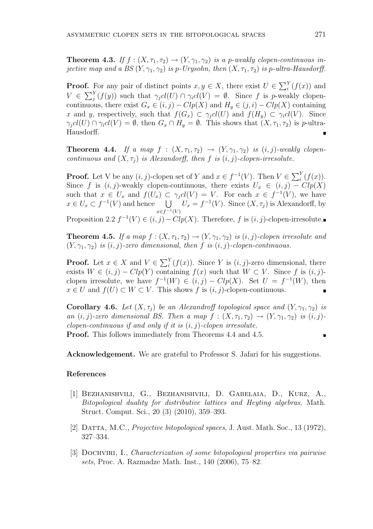**Theorem 4.3.** If  $f : (X, \tau_1, \tau_2) \to (Y, \gamma_1, \gamma_2)$  is a p-weakly clopen-continuous injective map and a BS  $(Y, \gamma_1, \gamma_2)$  is p-Urysohn, then  $(X, \tau_1, \tau_2)$  is p-ultra-Hausdorff.

**Proof.** For any pair of distinct points  $x, y \in X$ , there exist  $U \in \sum_{i=1}^{Y}$  $i<sup>Y</sup>(f(x))$  and  $V \in \sum_{i=1}^{Y}$  $\int_{j}^{Y}(f(y))$  such that  $\gamma_{j}cl(U) \cap \gamma_{i}cl(V) = \emptyset$ . Since f is p-weakly clopencontinuous, there exist  $G_x \in (i, j) - Clp(X)$  and  $H_y \in (j, i) - Clp(X)$  containing x and y, respectively, such that  $f(G_x) \subset \gamma_i cl(U)$  and  $f(H_y) \subset \gamma_i cl(V)$ . Since  $\gamma_i cl(U) \cap \gamma_i cl(V) = \emptyset$ , then  $G_x \cap H_y = \emptyset$ . This shows that  $(X, \tau_1, \tau_2)$  is p-ultra-Hausdorff.

**Theorem 4.4.** If a map  $f : (X, \tau_1, \tau_2) \rightarrow (Y, \gamma_1, \gamma_2)$  is  $(i, j)$ -weakly clopencontinuous and  $(X, \tau_i)$  is Alexandorff, then f is  $(i, j)$ -clopen-irresolute.

**Proof.** Let V be any  $(i, j)$ -clopen set of Y and  $x \in f^{-1}(V)$ . Then  $V \in \sum_{i=1}^{Y}$  $\binom{Y}{i}(f(x)).$ Since f is  $(i, j)$ -weakly clopen-continuous, there exists  $U_x \in (i, j) - Clp(X)$ such that  $x \in U_x$  and  $f(U_x) \subset \gamma_j cl(V) = V$ . For each  $x \in f^{-1}(V)$ , we have such that  $x \in U_x$  and  $f(U_x) \subseteq$ <br>  $x \in U_x \subset f^{-1}(V)$  and hence  $\bigcup$  $x \in f^{-1}(V)$  $U_x = f^{-1}(V)$ . Since  $(X, \tau_j)$  is Alexandorff, by

Proposition 2.2  $f^{-1}(V) \in (i, j) - Clp(X)$ . Therefore, f is  $(i, j)$ -clopen-irresolute.

**Theorem 4.5.** If a map  $f : (X, \tau_1, \tau_2) \to (Y, \gamma_1, \gamma_2)$  is  $(i, j)$ -clopen irresolute and  $(Y, \gamma_1, \gamma_2)$  is  $(i, j)$ -zero dimensional, then f is  $(i, j)$ -clopen-continuous.

**Proof.** Let  $x \in X$  and  $V \in \sum_i^Y$  $i<sub>i</sub>'(f(x))$ . Since Y is  $(i, j)$ -zero dimensional, there exists  $W \in (i, j) - Clp(Y)$  containing  $f(x)$  such that  $W \subset V$ . Since f is  $(i, j)$ clopen irresolute, we have  $f^{-1}(W) \in (i, j) - Clp(X)$ . Set  $U = f^{-1}(W)$ , then  $x \in U$  and  $f(U) \subset W \subset V$ . This shows f is  $(i, j)$ -clopen-continuous.

Corollary 4.6. Let  $(X, \tau_i)$  be an Alexandroff topological space and  $(Y, \gamma_1, \gamma_2)$  is an  $(i, j)$ -zero dimensional BS. Then a map  $f : (X, \tau_1, \tau_2) \to (Y, \gamma_1, \gamma_2)$  is  $(i, j)$ clopen-continuous if and only if it is  $(i, j)$ -clopen irresolute. Proof. This follows immediately from Theorems 4.4 and 4.5.

Acknowledgement. We are grateful to Professor S. Jafari for his suggestions.

## References

- [1] Bezhanishvili, G., Bezhanishvili, D. Gabelaia, D., Kurz, A., Bitopological duality for distributive lattices and Heyting algebras, Math. Struct. Comput. Sci., 20 (3) (2010), 359–393.
- [2] Datta, M.C., Projective bitopological spaces, J. Aust. Math. Soc., 13 (1972), 327–334.
- [3] DOCHVIRI, I., Characterization of some bitopological properties via pairwise sets, Proc. A. Razmadze Math. Inst., 140 (2006), 75–82.